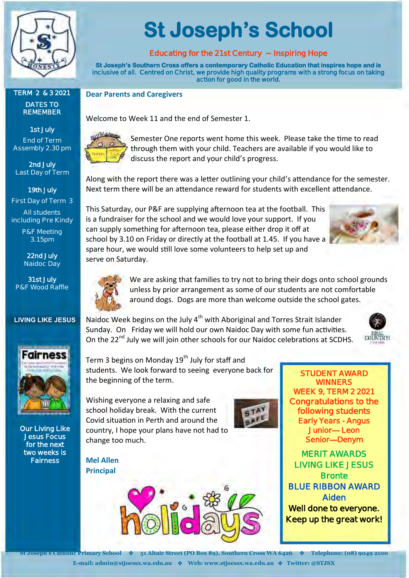

# **TERM 2 & 3 2021**

**DATES TO REMEMBER** 

**1st July End of Term Assembly 2.30 pm**

**2nd July Last Day of Term**

**19th July First Day of Term 3**

**All students including Pre Kindy**

> **P&F Meeting 3.15pm**

**22nd July Naidoc Day**

**31st July P&F Wood Raffle**

#### **LIVING LIKE JESUS**



**Our Living Like Jesus Focus for the next two weeks is Fairness** 

# **St Joseph's School**

### **Educating for the 21st Century ~ Inspiring Hope**

**St Joseph's Southern Cross offers a contemporary Catholic Education that inspires hope and is inclusive of all. Centred on Christ, we provide high quality programs with a strong focus on taking action for good in the world.** 

**Dear Parents and Caregivers**

Welcome to Week 11 and the end of Semester 1.



Semester One reports went home this week. Please take the time to read through them with your child. Teachers are available if you would like to discuss the report and your child's progress.

Along with the report there was a letter outlining your child's attendance for the semester. Next term there will be an attendance reward for students with excellent attendance.

This Saturday, our P&F are supplying afternoon tea at the football. This is a fundraiser for the school and we would love your support. If you can supply something for afternoon tea, please either drop it off at school by 3.10 on Friday or directly at the football at 1.45. If you have a spare hour, we would still love some volunteers to help set up and serve on Saturday.





We are asking that families to try not to bring their dogs onto school grounds unless by prior arrangement as some of our students are not comfortable around dogs. Dogs are more than welcome outside the school gates.

Naidoc Week begins on the July  $4<sup>th</sup>$  with Aboriginal and Torres Strait Islander Sunday. On Friday we will hold our own Naidoc Day with some fun activities. On the 22<sup>nd</sup> July we will join other schools for our Naidoc celebrations at SCDHS.



Term 3 begins on Monday  $19<sup>th</sup>$  July for staff and students. We look forward to seeing everyone back for the beginning of the term.

Wishing everyone a relaxing and safe school holiday break. With the current Covid situation in Perth and around the country, I hope your plans have not had to change too much.

**Mel Allen Principal**



**STUDENT AWARD WINNERS WEEK 9, TERM 2 2021 Congratulations to the following students Early Years - Angus Junior— Leon Senior—Denym** 

**MERIT AWARDS LIVING LIKE JESUS Bronte BLUE RIBBON AWARD Aiden Well done to everyone. Keep up the great work!**

**St Joseph's Catholic Primary School** ❖ **51 Altair Street (PO Box 89), Southern Cross WA 6426** ❖ **Telephone: (08) 9049 2100 E-mail: admin@stjoessx.wa.edu.au** ❖ **Web: www.stjoessx.wa.edu.au** ❖ **Twitter: @STJSX**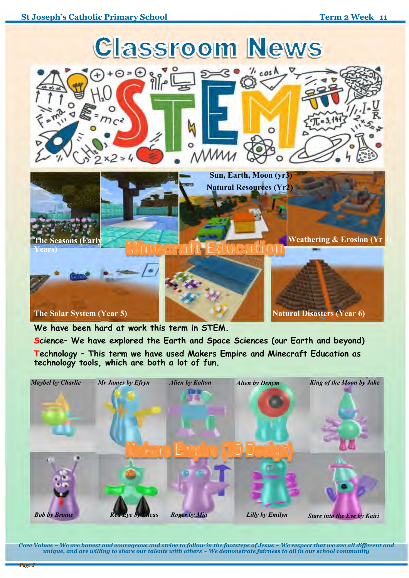

**We have been hard at work this term in STEM. Science– We have explored the Earth and Space Sciences (our Earth and beyond) Technology – This term we have used Makers Empire and Minecraft Education as technology tools, which are both a lot of fun.**



*Core Values ~ We are honest and courageous and strive to follow in the footsteps of Jesus ~ We respect that we are all different and unique, and are willing to share our talents with others ~ We demonstrate fairness to all in our school community*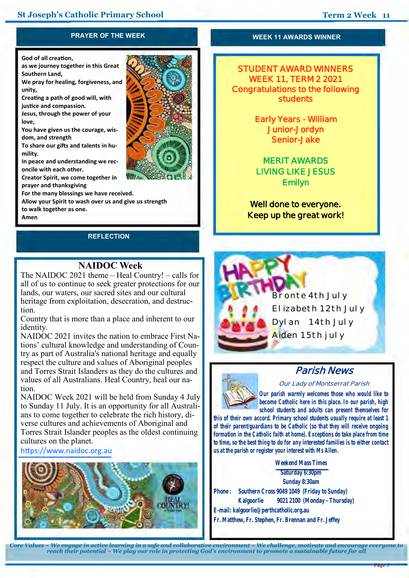#### **PRAYER OF THE WEEK**

**God of all creation,** 

**as we journey together in this Great Southern Land,** 

**We pray for healing, forgiveness, and unity,** 

**Creating a path of good will, with justice and compassion.** 

**Jesus, through the power of your love,** 

**You have given us the courage, wisdom, and strength** 

**To share our gifts and talents in humility.** 

**In peace and understanding we reconcile with each other.** 

**Creator Spirit, we come together in prayer and thanksgiving** 

**For the many blessings we have received.** 

**Allow your Spirit to wash over us and give us strength** 

**to walk together as one.** 

**Amen**

## **REFLECTION**

#### **WEEK 11 AWARDS WINNER**

**STUDENT AWARD WINNERS WEEK 11, TERM 2 2021 Congratulations to the following students** 

> **Early Years - William Junior-Jordyn Senior-Jake**

**MERIT AWARDS LIVING LIKE JESUS Emilyn** 

**Well done to everyone. Keep up the great work!**

# **NAIDOC Week**

The NAIDOC 2021 theme – Heal Country! – calls for all of us to continue to seek greater protections for our lands, our waters, our sacred sites and our cultural heritage from exploitation, desecration, and destruction.

Country that is more than a place and inherent to our identity.

NAIDOC 2021 invites the nation to embrace First Nations' cultural knowledge and understanding of Country as part of Australia's national heritage and equally respect the culture and values of Aboriginal peoples and Torres Strait Islanders as they do the cultures and values of all Australians. Heal Country, heal our nation.

NAIDOC Week 2021 will be held from Sunday 4 July to Sunday 11 July. It is an opportunity for all Australians to come together to celebrate the rich history, diverse cultures and achievements of Aboriginal and Torres Strait Islander peoples as the oldest continuing cultures on the planet.

#### <https://www.naidoc.org.au>







# **Parish News**

**Our Lady of Montserrat Parish**

*Our parish warmly welcomes those who would like to become Catholic here in this place. In our parish, high school students and adults can present themselves for* 

*this of their own accord. Primary school students usually require at least 1 of their parent/guardians to be Catholic (so that they will receive ongoing formation in the Catholic faith at home). Exceptions do take place from time to time, so the best thing to do for any interested families is to either contact us at the parish or register your interest with Ms Allen.*

**Weekend Mass Times Saturday 6:30pm Sunday 8:30am Phone : Southern Cross 9049 1049 (Friday to Sunday) Kalgoorlie 9021 2100 (Monday - Thursday) E-mail: kalgoorlie@perthcatholic.org.au Fr. Matthew, Fr. Stephen, Fr. Brennan and Fr. Jeffey**

*Core Values ~ We engage in active learning in a safe and collaborative environment ~ We challenge, motivate and encourage everyone to reach their potential ~ We play our role in protecting God's environment to promote a sustainable future for all*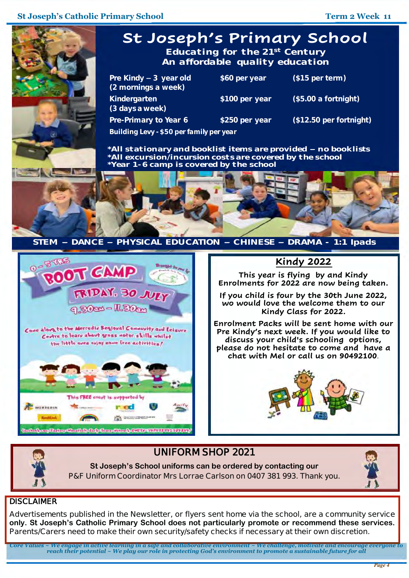

**St Joseph's School uniforms can be ordered by contacting our P&F Uniform Coordinator Mrs Lorrae Carlson on 0407 381 993. Thank you.** 



#### **DISCLAIMER**

**Advertisements published in the Newsletter, or flyers sent home via the school, are a community service only. St Joseph's Catholic Primary School does not particularly promote or recommend these services. Parents/Carers need to make their own security/safety checks if necessary at their own discretion.** 

*Core Values ~ We engage in active learning in a safe and collaborative environment ~ We challenge, motivate and encourage everyone to reach their potential ~ We play our role in protecting God's environment to promote a sustainable future for all*

I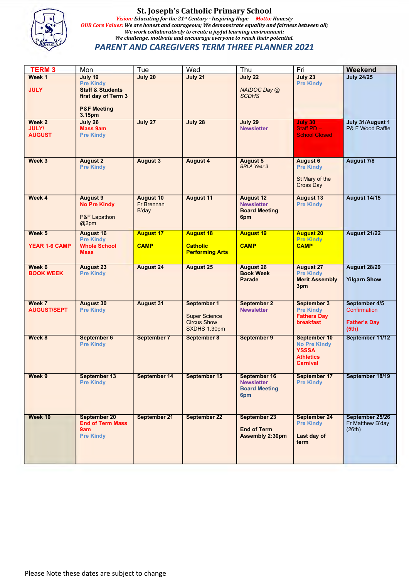

#### **St. Joseph's Catholic Primary School** *Vision: Educating for the 21st Century - Inspiring Hope Motto: Honesty OUR Core Values: We are honest and courageous; We demonstrate equality and fairness between all; We work collaboratively to create a joyful learning environment; We challenge, motivate and encourage everyone to reach their potential. PARENT AND CAREGIVERS TERM THREE PLANNER 2021*

| <b>TERM 3</b>                           | Mon                                                                                                        | Tue                              | Wed                                                                       | Thu                                                                     | Fri                                                                                        | Weekend                                                       |
|-----------------------------------------|------------------------------------------------------------------------------------------------------------|----------------------------------|---------------------------------------------------------------------------|-------------------------------------------------------------------------|--------------------------------------------------------------------------------------------|---------------------------------------------------------------|
| Week 1                                  | July 19                                                                                                    | July 20                          | July 21                                                                   | July 22                                                                 | <b>July 23</b>                                                                             | <b>July 24/25</b>                                             |
| <b>JULY</b>                             | <b>Pre Kindy</b><br><b>Staff &amp; Students</b><br>first day of Term 3<br><b>P&amp;F Meeting</b><br>3.15pm |                                  |                                                                           | NAIDOC Day @<br><b>SCDHS</b>                                            | <b>Pre Kindy</b>                                                                           |                                                               |
| Week 2<br><b>JULY/</b><br><b>AUGUST</b> | July 26<br><b>Mass 9am</b><br><b>Pre Kindy</b>                                                             | July 27                          | July 28                                                                   | July 29<br><b>Newsletter</b>                                            | <b>July 30</b><br>Staff PD-<br><b>School Closed</b>                                        | July 31/August 1<br>P& F Wood Raffle                          |
| Week 3                                  | <b>August 2</b><br><b>Pre Kindy</b>                                                                        | <b>August 3</b>                  | <b>August 4</b>                                                           | <b>August 5</b><br><b>BRLA Year 3</b>                                   | <b>August 6</b><br><b>Pre Kindy</b><br>St Mary of the<br>Cross Day                         | <b>August 7/8</b>                                             |
| Week 4                                  | <b>August 9</b><br><b>No Pre Kindy</b><br><b>P&amp;F Lapathon</b><br>@2pm                                  | August 10<br>Fr Brennan<br>B'day | <b>August 11</b>                                                          | <b>August 12</b><br><b>Newsletter</b><br><b>Board Meeting</b><br>6pm    | <b>August 13</b><br><b>Pre Kindy</b>                                                       | <b>August 14/15</b>                                           |
| Week 5                                  | <b>August 16</b><br><b>Pre Kindy</b>                                                                       | <b>August 17</b>                 | <b>August 18</b>                                                          | <b>August 19</b>                                                        | <b>August 20</b><br><b>Pre Kindy</b>                                                       | <b>August 21/22</b>                                           |
| <b>YEAR 1-6 CAMP</b>                    | <b>Whole School</b><br><b>Mass</b>                                                                         | <b>CAMP</b>                      | <b>Catholic</b><br><b>Performing Arts</b>                                 | <b>CAMP</b>                                                             | <b>CAMP</b>                                                                                |                                                               |
| Week 6<br><b>BOOK WEEK</b>              | <b>August 23</b><br><b>Pre Kindy</b>                                                                       | <b>August 24</b>                 | <b>August 25</b>                                                          | <b>August 26</b><br><b>Book Week</b><br><b>Parade</b>                   | <b>August 27</b><br><b>Pre Kindy</b><br><b>Merit Assembly</b><br>3pm                       | <b>August 28/29</b><br><b>Yilgarn Show</b>                    |
| Week 7<br><b>AUGUST/SEPT</b>            | <b>August 30</b><br><b>Pre Kindy</b>                                                                       | <b>August 31</b>                 | September 1<br><b>Super Science</b><br><b>Circus Show</b><br>SXDHS 1.30pm | <b>September 2</b><br><b>Newsletter</b>                                 | <b>September 3</b><br><b>Pre Kindy</b><br><b>Fathers Day</b><br><b>breakfast</b>           | September 4/5<br>Confirmation<br><b>Father's Day</b><br>(5th) |
| Week 8                                  | September 6<br><b>Pre Kindy</b>                                                                            | September 7                      | September 8                                                               | September 9                                                             | September 10<br><b>No Pre Kindy</b><br><b>YSSSA</b><br><b>Athletics</b><br><b>Carnival</b> | September 11/12                                               |
| Week 9                                  | September 13<br><b>Pre Kindy</b>                                                                           | September 14                     | September 15                                                              | <b>September 16</b><br><b>Newsletter</b><br><b>Board Meeting</b><br>6pm | September 17<br><b>Pre Kindy</b>                                                           | September 18/19                                               |
| Week 10                                 | <b>September 20</b><br><b>End of Term Mass</b><br>9am<br><b>Pre Kindy</b>                                  | September 21                     | September 22                                                              | <b>September 23</b><br><b>End of Term</b><br><b>Assembly 2:30pm</b>     | <b>September 24</b><br><b>Pre Kindy</b><br>Last day of<br>term                             | September 25/26<br>Fr Matthew B'day<br>(26th)                 |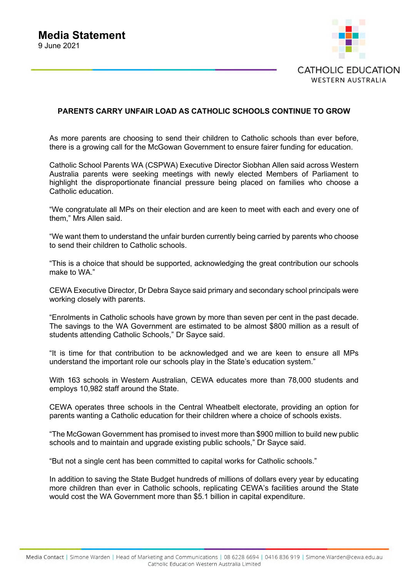

#### **PARENTS CARRY UNFAIR LOAD AS CATHOLIC SCHOOLS CONTINUE TO GROW**

As more parents are choosing to send their children to Catholic schools than ever before, there is a growing call for the McGowan Government to ensure fairer funding for education.

Catholic School Parents WA (CSPWA) Executive Director Siobhan Allen said across Western Australia parents were seeking meetings with newly elected Members of Parliament to highlight the disproportionate financial pressure being placed on families who choose a Catholic education.

"We congratulate all MPs on their election and are keen to meet with each and every one of them," Mrs Allen said.

"We want them to understand the unfair burden currently being carried by parents who choose to send their children to Catholic schools.

"This is a choice that should be supported, acknowledging the great contribution our schools make to WA."

CEWA Executive Director, Dr Debra Sayce said primary and secondary school principals were working closely with parents.

"Enrolments in Catholic schools have grown by more than seven per cent in the past decade. The savings to the WA Government are estimated to be almost \$800 million as a result of students attending Catholic Schools," Dr Sayce said.

"It is time for that contribution to be acknowledged and we are keen to ensure all MPs understand the important role our schools play in the State's education system."

With 163 schools in Western Australian, CEWA educates more than 78,000 students and employs 10,982 staff around the State.

CEWA operates three schools in the Central Wheatbelt electorate, providing an option for parents wanting a Catholic education for their children where a choice of schools exists.

"The McGowan Government has promised to invest more than \$900 million to build new public schools and to maintain and upgrade existing public schools," Dr Sayce said.

"But not a single cent has been committed to capital works for Catholic schools."

In addition to saving the State Budget hundreds of millions of dollars every year by educating more children than ever in Catholic schools, replicating CEWA's facilities around the State would cost the WA Government more than \$5.1 billion in capital expenditure.